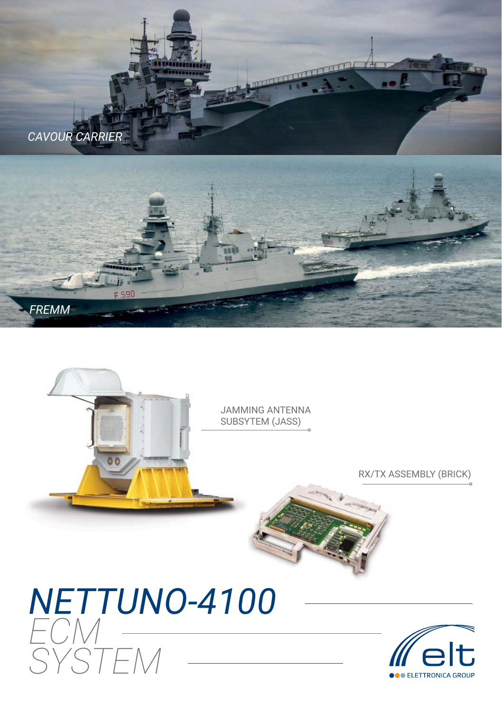



RX/TX ASSEMBLY (BRICK)

JAMMING ANTENNA SUBSYTEM (JASS)